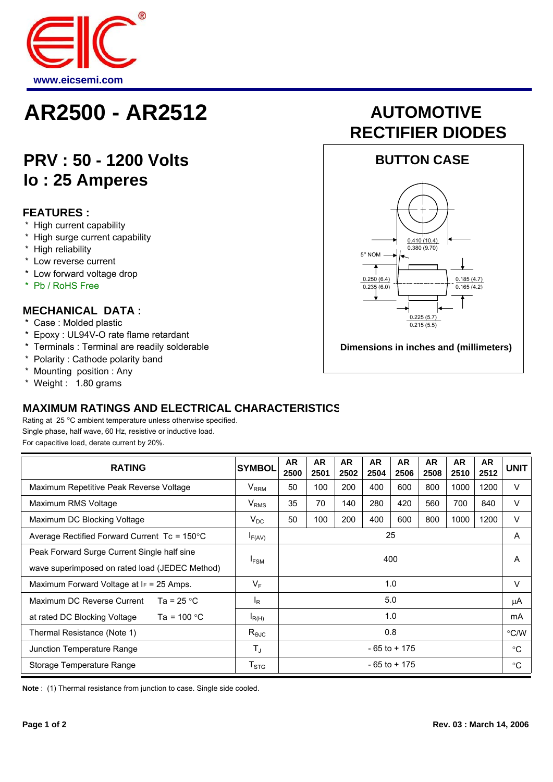

## **AR2500 - AR2512 AUTOMOTIVE**

### **PRV : 50 - 1200 Volts Io : 25 Amperes**

#### **FEATURES :**

- \* High current capability
- \* High surge current capability
- \* High reliability
- \* Low reverse current
- \* Low forward voltage drop
- \* Pb / RoHS Free

#### **MECHANICAL DATA :**

- \* Case : Molded plastic
- \* Epoxy : UL94V-O rate flame retardant
- \* Terminals : Terminal are readily solderable
- \* Polarity : Cathode polarity band
- \* Mounting position : Any
- \* Weight : 1.80 grams

#### **MAXIMUM RATINGS AND ELECTRICAL CHARACTERISTICS**

Rating at 25 °C ambient temperature unless otherwise specified. Single phase, half wave, 60 Hz, resistive or inductive load. For capacitive load, derate current by 20%.

| <b>RATING</b>                                          | <b>SYMBOL</b>             | <b>AR</b><br>2500 | <b>AR</b><br>2501 | <b>AR</b><br>2502 | <b>AR</b><br>2504 | <b>AR</b><br>2506 | <b>AR</b><br>2508 | <b>AR</b><br>2510 | <b>AR</b><br>2512 | <b>UNIT</b>   |
|--------------------------------------------------------|---------------------------|-------------------|-------------------|-------------------|-------------------|-------------------|-------------------|-------------------|-------------------|---------------|
| Maximum Repetitive Peak Reverse Voltage                | $\rm V_{RRM}$             | 50                | 100               | 200               | 400               | 600               | 800               | 1000              | 1200              | V             |
| Maximum RMS Voltage                                    | $V_{RMS}$                 | 35                | 70                | 140               | 280               | 420               | 560               | 700               | 840               | $\vee$        |
| Maximum DC Blocking Voltage                            | $V_{DC}$                  | 50                | 100               | 200               | 400               | 600               | 800               | 1000              | 1200              | $\vee$        |
| Average Rectified Forward Current Tc = $150^{\circ}$ C | $I_{F(AV)}$               | 25                |                   |                   |                   |                   |                   |                   |                   | A             |
| Peak Forward Surge Current Single half sine            |                           | 400               |                   |                   |                   |                   |                   |                   |                   | A             |
| wave superimposed on rated load (JEDEC Method)         | $I_{FSM}$                 |                   |                   |                   |                   |                   |                   |                   |                   |               |
| Maximum Forward Voltage at $F = 25$ Amps.              | $V_F$                     | 1.0               |                   |                   |                   |                   |                   |                   |                   | $\vee$        |
| Maximum DC Reverse Current<br>Ta = $25 °C$             | $I_R$                     | 5.0               |                   |                   |                   |                   |                   |                   |                   | μA            |
| Ta = 100 $^{\circ}$ C<br>at rated DC Blocking Voltage  | $I_{R(H)}$                | 1.0               |                   |                   |                   |                   |                   |                   |                   | mA            |
| Thermal Resistance (Note 1)                            | $R_{\Theta JC}$           | 0.8               |                   |                   |                   |                   |                   |                   |                   | $\degree$ C/W |
| Junction Temperature Range                             | $T_{\rm J}$               | $-65$ to $+175$   |                   |                   |                   |                   |                   |                   |                   | $^{\circ}C$   |
| Storage Temperature Range                              | $\mathsf{T}_{\text{STG}}$ | $-65$ to $+175$   |                   |                   |                   |                   |                   |                   |                   | $^{\circ}C$   |

**Note** : (1) Thermal resistance from junction to case. Single side cooled.

# **RECTIFIER DIODES**